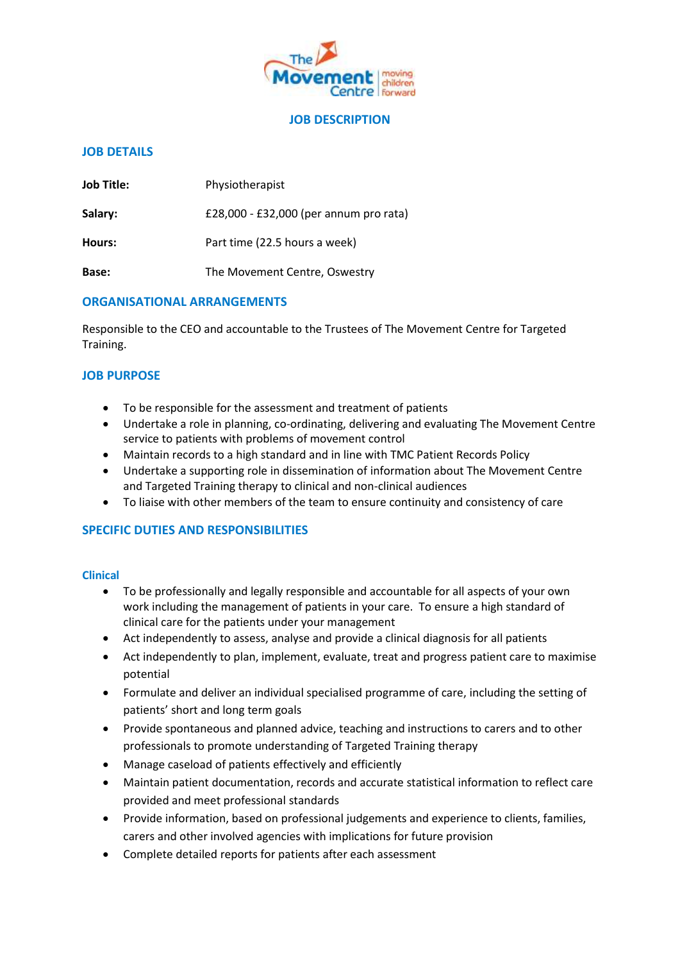

#### **JOB DESCRIPTION**

## **JOB DETAILS**

| <b>Job Title:</b> | Physiotherapist                        |  |
|-------------------|----------------------------------------|--|
| Salary:           | £28,000 - £32,000 (per annum pro rata) |  |
| Hours:            | Part time (22.5 hours a week)          |  |
| Base:             | The Movement Centre, Oswestry          |  |

#### **ORGANISATIONAL ARRANGEMENTS**

Responsible to the CEO and accountable to the Trustees of The Movement Centre for Targeted Training.

## **JOB PURPOSE**

- To be responsible for the assessment and treatment of patients
- Undertake a role in planning, co-ordinating, delivering and evaluating The Movement Centre service to patients with problems of movement control
- Maintain records to a high standard and in line with TMC Patient Records Policy
- Undertake a supporting role in dissemination of information about The Movement Centre and Targeted Training therapy to clinical and non-clinical audiences
- To liaise with other members of the team to ensure continuity and consistency of care

## **SPECIFIC DUTIES AND RESPONSIBILITIES**

#### **Clinical**

- To be professionally and legally responsible and accountable for all aspects of your own work including the management of patients in your care. To ensure a high standard of clinical care for the patients under your management
- Act independently to assess, analyse and provide a clinical diagnosis for all patients
- Act independently to plan, implement, evaluate, treat and progress patient care to maximise potential
- Formulate and deliver an individual specialised programme of care, including the setting of patients' short and long term goals
- Provide spontaneous and planned advice, teaching and instructions to carers and to other professionals to promote understanding of Targeted Training therapy
- Manage caseload of patients effectively and efficiently
- Maintain patient documentation, records and accurate statistical information to reflect care provided and meet professional standards
- Provide information, based on professional judgements and experience to clients, families, carers and other involved agencies with implications for future provision
- Complete detailed reports for patients after each assessment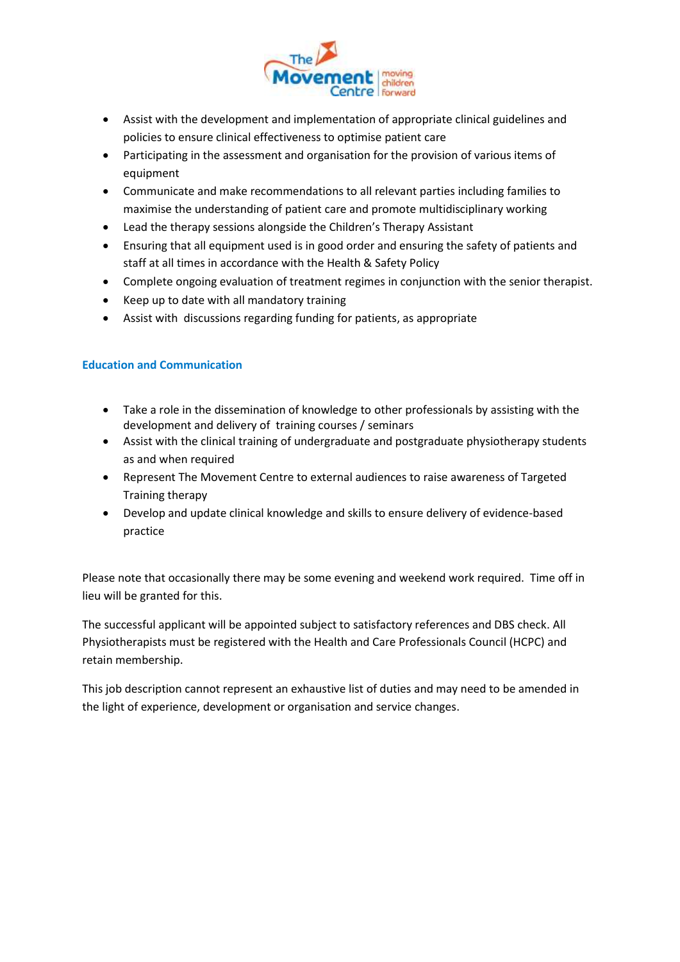

- Assist with the development and implementation of appropriate clinical guidelines and policies to ensure clinical effectiveness to optimise patient care
- Participating in the assessment and organisation for the provision of various items of equipment
- Communicate and make recommendations to all relevant parties including families to maximise the understanding of patient care and promote multidisciplinary working
- Lead the therapy sessions alongside the Children's Therapy Assistant
- Ensuring that all equipment used is in good order and ensuring the safety of patients and staff at all times in accordance with the Health & Safety Policy
- Complete ongoing evaluation of treatment regimes in conjunction with the senior therapist.
- Keep up to date with all mandatory training
- Assist with discussions regarding funding for patients, as appropriate

## **Education and Communication**

- Take a role in the dissemination of knowledge to other professionals by assisting with the development and delivery of training courses / seminars
- Assist with the clinical training of undergraduate and postgraduate physiotherapy students as and when required
- Represent The Movement Centre to external audiences to raise awareness of Targeted Training therapy
- Develop and update clinical knowledge and skills to ensure delivery of evidence-based practice

Please note that occasionally there may be some evening and weekend work required. Time off in lieu will be granted for this.

The successful applicant will be appointed subject to satisfactory references and DBS check. All Physiotherapists must be registered with the Health and Care Professionals Council (HCPC) and retain membership.

This job description cannot represent an exhaustive list of duties and may need to be amended in the light of experience, development or organisation and service changes.